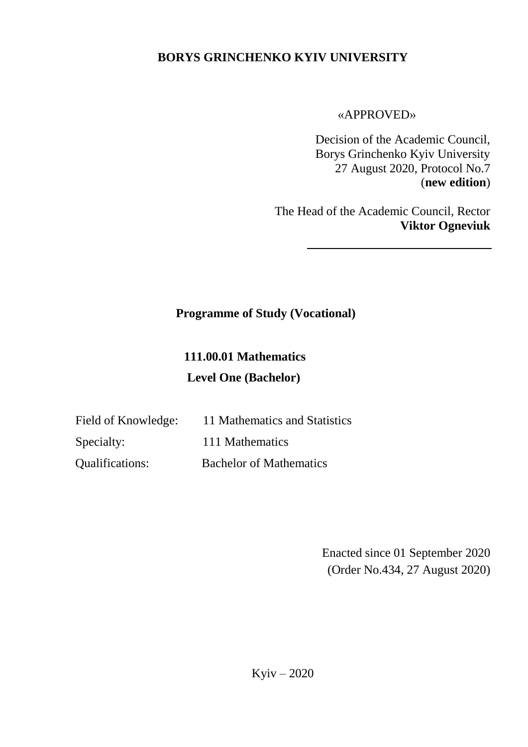## **BORYS GRINCHENKO KYIV UNIVERSITY**

«APPROVED»

Decision of the Academic Council, Borys Grinchenko Kyiv University 27 August 2020, Protocol No.7 (**new edition**)

The Head of the Academic Council, Rector **Viktor Ogneviuk**

## **Programme of Study (Vocational)**

# **111.00.01 Mathematics Level One (Bachelor)**

| Field of Knowledge:    | 11 Mathematics and Statistics  |
|------------------------|--------------------------------|
| Specialty:             | 111 Mathematics                |
| <b>Qualifications:</b> | <b>Bachelor of Mathematics</b> |

Enacted since 01 September 2020 (Order No.434, 27 August 2020)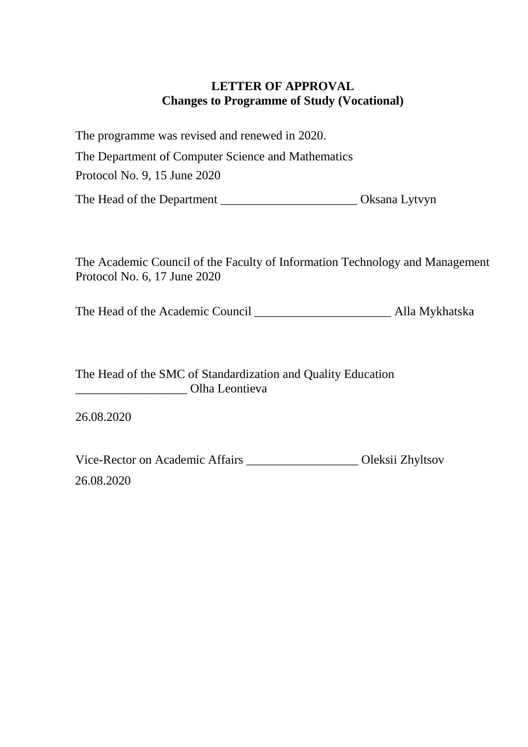#### **LETTER OF APPROVAL Changes to Programme of Study (Vocational)**

The programme was revised and renewed in 2020. The Department of Computer Science and Mathematics Protocol No. 9, 15 June 2020 The Head of the Department \_\_\_\_\_\_\_\_\_\_\_\_\_\_\_\_\_\_\_\_\_\_\_\_\_\_\_\_\_ Oksana Lytvyn

The Academic Council of the Faculty of Information Technology and Management Protocol No. 6, 17 June 2020

The Head of the Academic Council **Alla Mykhatska** 

The Head of the SMC of Standardization and Quality Education \_\_\_\_\_\_\_\_\_\_\_\_\_\_\_\_\_\_ Olha Leontieva

26.08.2020

Vice-Rector on Academic Affairs \_\_\_\_\_\_\_\_\_\_\_\_\_\_\_\_\_\_ Oleksii Zhyltsov 26.08.2020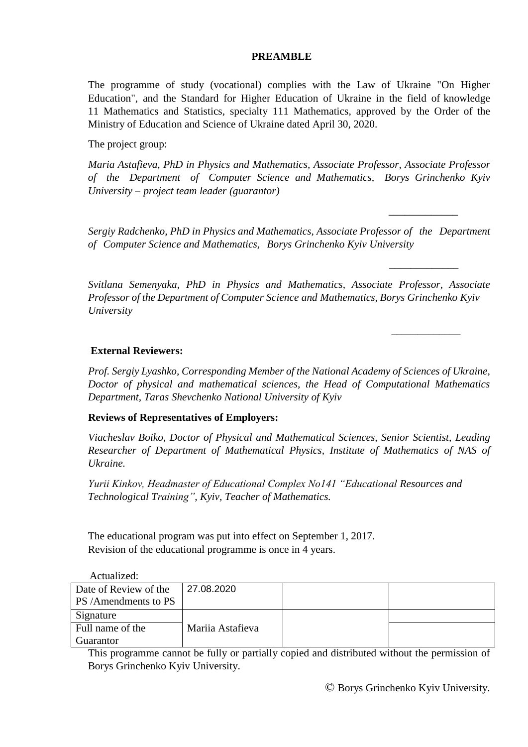#### **PREAMBLE**

The programme of study (vocational) complies with the Law of Ukraine "On Higher Education", and the Standard for Higher Education of Ukraine in the field of knowledge 11 Mathematics and Statistics, specialty 111 Mathematics, approved by the Order of the Ministry of Education and Science of Ukraine dated April 30, 2020.

The project group:

*Maria Astafieva, PhD in Physics and Mathematics, Associate Professor, Associate Professor of the Department of Computer Science and Mathematics, Borys Grinchenko Kyiv University – project team leader (guarantor)*

*Sergiy Radchenko, PhD in Physics and Mathematics, Associate Professor of the Department of Computer Science and Mathematics, Borys Grinchenko Kyiv University*

 *\_\_\_\_\_\_\_\_\_\_\_\_\_*

 *\_\_\_\_\_\_\_\_\_\_\_\_\_* 

 *\_\_\_\_\_\_\_\_\_\_\_\_\_* 

*Svitlana Semenyaka, PhD in Physics and Mathematics, Associate Professor, Associate Professor of the Department of Computer Science and Mathematics, Borys Grinchenko Kyiv University*

#### **External Reviewers:**

*Prof. Sergiy Lyashko, Corresponding Member of the National Academy of Sciences of Ukraine, Doctor of physical and mathematical sciences, the Head of Computational Mathematics Department, Taras Shevchenko National University of Kyiv*

#### **Reviews of Representatives of Employers:**

*Viacheslav Boiko, Doctor of Physical and Mathematical Sciences, Senior Scientist, Leading Researcher of Department of Mathematical Physics, Institute of Mathematics of NAS of Ukraine.*

*Yurii Kinkov, Headmaster of Educational Complex No141 "Educational Resources and Technological Training", Kyiv, Teacher of Mathematics.*

The educational program was put into effect on September 1, 2017. Revision of the educational programme is once in 4 years.

Actualized: Date of Review of the PS /Amendments to PS Mariia Astafieva 27.08.2020 Signature Full name of the Guarantor

This programme cannot be fully or partially copied and distributed without the permission of Borys Grinchenko Kyiv University.

© Borys Grinchenko Kyiv University.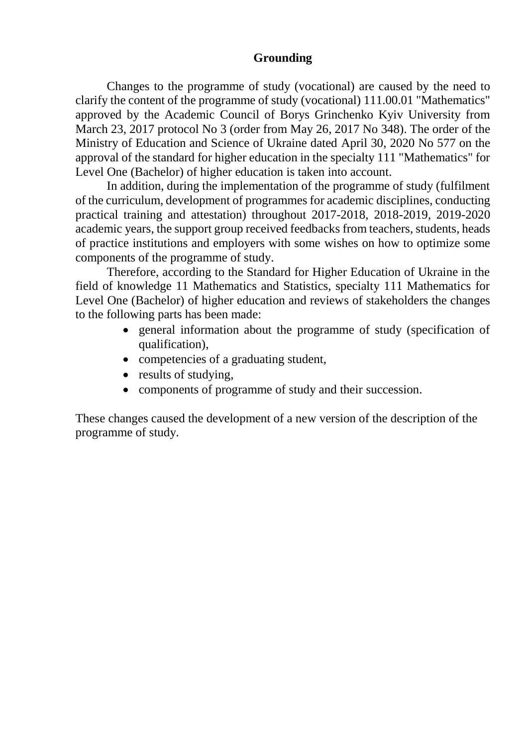#### **Grounding**

Changes to the programme of study (vocational) are caused by the need to clarify the content of the programme of study (vocational) 111.00.01 "Mathematics" approved by the Academic Council of Borys Grinchenko Kyiv University from March 23, 2017 protocol No 3 (order from May 26, 2017 No 348). The order of the Ministry of Education and Science of Ukraine dated April 30, 2020 No 577 on the approval of the standard for higher education in the specialty 111 "Mathematics" for Level One (Bachelor) of higher education is taken into account.

In addition, during the implementation of the programme of study (fulfilment of the curriculum, development of programmes for academic disciplines, conducting practical training and attestation) throughout 2017-2018, 2018-2019, 2019-2020 academic years, the support group received feedbacks from teachers, students, heads of practice institutions and employers with some wishes on how to optimize some components of the programme of study.

Therefore, according to the Standard for Higher Education of Ukraine in the field of knowledge 11 Mathematics and Statistics, specialty 111 Mathematics for Level One (Bachelor) of higher education and reviews of stakeholders the changes to the following parts has been made:

- general information about the programme of study (specification of qualification),
- competencies of a graduating student,
- results of studying,
- components of programme of study and their succession.

These changes caused the development of a new version of the description of the programme of study.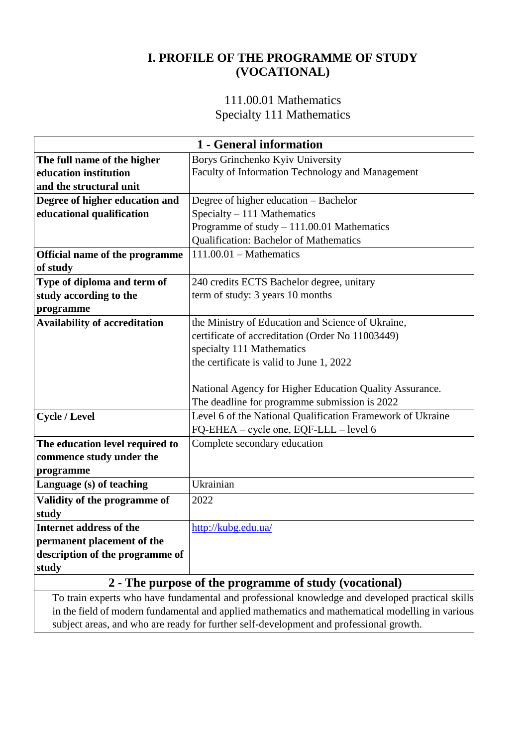## **I. PROFILE OF THE PROGRAMME OF STUDY (VOCATIONAL)**

#### 111.00.01 Mathematics Specialty 111 Mathematics

| 1 - General information         |                                                            |  |  |  |  |  |  |  |  |
|---------------------------------|------------------------------------------------------------|--|--|--|--|--|--|--|--|
| The full name of the higher     | Borys Grinchenko Kyiv University                           |  |  |  |  |  |  |  |  |
| education institution           | Faculty of Information Technology and Management           |  |  |  |  |  |  |  |  |
| and the structural unit         |                                                            |  |  |  |  |  |  |  |  |
| Degree of higher education and  | Degree of higher education - Bachelor                      |  |  |  |  |  |  |  |  |
| educational qualification       | Specialty - 111 Mathematics                                |  |  |  |  |  |  |  |  |
|                                 | Programme of study $-111.00.01$ Mathematics                |  |  |  |  |  |  |  |  |
|                                 | Qualification: Bachelor of Mathematics                     |  |  |  |  |  |  |  |  |
| Official name of the programme  | $111.00.01$ - Mathematics                                  |  |  |  |  |  |  |  |  |
| of study                        |                                                            |  |  |  |  |  |  |  |  |
| Type of diploma and term of     | 240 credits ECTS Bachelor degree, unitary                  |  |  |  |  |  |  |  |  |
| study according to the          | term of study: 3 years 10 months                           |  |  |  |  |  |  |  |  |
| programme                       |                                                            |  |  |  |  |  |  |  |  |
| Availability of accreditation   | the Ministry of Education and Science of Ukraine,          |  |  |  |  |  |  |  |  |
|                                 | certificate of accreditation (Order No 11003449)           |  |  |  |  |  |  |  |  |
|                                 | specialty 111 Mathematics                                  |  |  |  |  |  |  |  |  |
|                                 | the certificate is valid to June 1, 2022                   |  |  |  |  |  |  |  |  |
|                                 |                                                            |  |  |  |  |  |  |  |  |
|                                 | National Agency for Higher Education Quality Assurance.    |  |  |  |  |  |  |  |  |
|                                 | The deadline for programme submission is 2022              |  |  |  |  |  |  |  |  |
| <b>Cycle / Level</b>            | Level 6 of the National Qualification Framework of Ukraine |  |  |  |  |  |  |  |  |
|                                 | FQ-EHEA - cycle one, EQF-LLL - level 6                     |  |  |  |  |  |  |  |  |
| The education level required to | Complete secondary education                               |  |  |  |  |  |  |  |  |
| commence study under the        |                                                            |  |  |  |  |  |  |  |  |
| programme                       |                                                            |  |  |  |  |  |  |  |  |
| Language (s) of teaching        | Ukrainian                                                  |  |  |  |  |  |  |  |  |
| Validity of the programme of    | 2022                                                       |  |  |  |  |  |  |  |  |
| study                           |                                                            |  |  |  |  |  |  |  |  |
| Internet address of the         | http://kubg.edu.ua/                                        |  |  |  |  |  |  |  |  |
| permanent placement of the      |                                                            |  |  |  |  |  |  |  |  |
| description of the programme of |                                                            |  |  |  |  |  |  |  |  |
| study                           |                                                            |  |  |  |  |  |  |  |  |
|                                 |                                                            |  |  |  |  |  |  |  |  |

#### **2 - The purpose of the programme of study (vocational)**

To train experts who have fundamental and professional knowledge and developed practical skills in the field of modern fundamental and applied mathematics and mathematical modelling in various subject areas, and who are ready for further self-development and professional growth.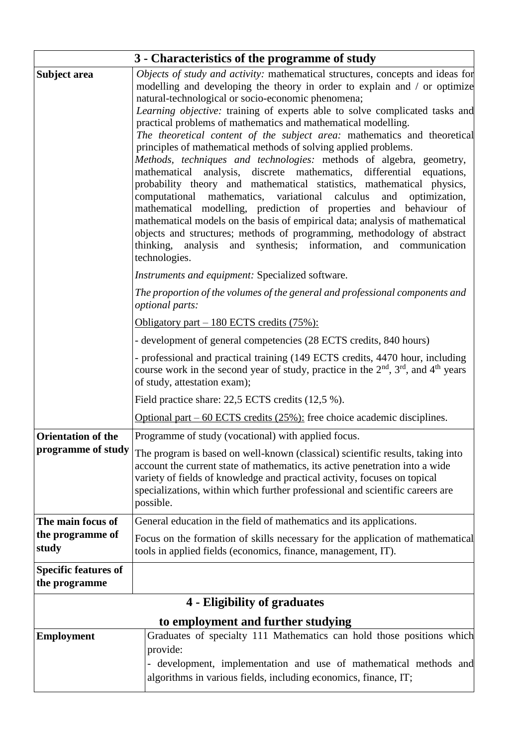|                                              | 3 - Characteristics of the programme of study                                                                                                                                                                                                                                                                                                                                                                                                                                                                                                                                                                                                                                                                                                                                                                                                                                                                                                                                                                                                                                                                                                                                                                                                                                   |
|----------------------------------------------|---------------------------------------------------------------------------------------------------------------------------------------------------------------------------------------------------------------------------------------------------------------------------------------------------------------------------------------------------------------------------------------------------------------------------------------------------------------------------------------------------------------------------------------------------------------------------------------------------------------------------------------------------------------------------------------------------------------------------------------------------------------------------------------------------------------------------------------------------------------------------------------------------------------------------------------------------------------------------------------------------------------------------------------------------------------------------------------------------------------------------------------------------------------------------------------------------------------------------------------------------------------------------------|
| <b>Subject area</b>                          | Objects of study and activity: mathematical structures, concepts and ideas for<br>modelling and developing the theory in order to explain and / or optimize<br>natural-technological or socio-economic phenomena;<br>Learning objective: training of experts able to solve complicated tasks and<br>practical problems of mathematics and mathematical modelling.<br>The theoretical content of the subject area: mathematics and theoretical<br>principles of mathematical methods of solving applied problems.<br>Methods, techniques and technologies: methods of algebra, geometry,<br>mathematical analysis, discrete mathematics, differential equations,<br>probability theory and mathematical statistics, mathematical physics,<br>computational mathematics, variational<br>calculus<br>and<br>optimization,<br>mathematical modelling, prediction of properties and behaviour of<br>mathematical models on the basis of empirical data; analysis of mathematical<br>objects and structures; methods of programming, methodology of abstract<br>thinking, analysis and synthesis; information, and communication<br>technologies.<br>Instruments and equipment: Specialized software.<br>The proportion of the volumes of the general and professional components and |
|                                              | optional parts:                                                                                                                                                                                                                                                                                                                                                                                                                                                                                                                                                                                                                                                                                                                                                                                                                                                                                                                                                                                                                                                                                                                                                                                                                                                                 |
|                                              | Obligatory part $-180$ ECTS credits (75%):                                                                                                                                                                                                                                                                                                                                                                                                                                                                                                                                                                                                                                                                                                                                                                                                                                                                                                                                                                                                                                                                                                                                                                                                                                      |
|                                              | - development of general competencies (28 ECTS credits, 840 hours)                                                                                                                                                                                                                                                                                                                                                                                                                                                                                                                                                                                                                                                                                                                                                                                                                                                                                                                                                                                                                                                                                                                                                                                                              |
|                                              | - professional and practical training (149 ECTS credits, 4470 hour, including<br>course work in the second year of study, practice in the $2nd$ , $3rd$ , and $4th$ years<br>of study, attestation exam);                                                                                                                                                                                                                                                                                                                                                                                                                                                                                                                                                                                                                                                                                                                                                                                                                                                                                                                                                                                                                                                                       |
|                                              | Field practice share: 22,5 ECTS credits (12,5 %).                                                                                                                                                                                                                                                                                                                                                                                                                                                                                                                                                                                                                                                                                                                                                                                                                                                                                                                                                                                                                                                                                                                                                                                                                               |
|                                              | Optional part $-60$ ECTS credits $(25\%)$ : free choice academic disciplines.                                                                                                                                                                                                                                                                                                                                                                                                                                                                                                                                                                                                                                                                                                                                                                                                                                                                                                                                                                                                                                                                                                                                                                                                   |
| Orientation of the                           | Programme of study (vocational) with applied focus.                                                                                                                                                                                                                                                                                                                                                                                                                                                                                                                                                                                                                                                                                                                                                                                                                                                                                                                                                                                                                                                                                                                                                                                                                             |
| programme of study                           | The program is based on well-known (classical) scientific results, taking into<br>account the current state of mathematics, its active penetration into a wide<br>variety of fields of knowledge and practical activity, focuses on topical<br>specializations, within which further professional and scientific careers are<br>possible.                                                                                                                                                                                                                                                                                                                                                                                                                                                                                                                                                                                                                                                                                                                                                                                                                                                                                                                                       |
| The main focus of                            | General education in the field of mathematics and its applications.                                                                                                                                                                                                                                                                                                                                                                                                                                                                                                                                                                                                                                                                                                                                                                                                                                                                                                                                                                                                                                                                                                                                                                                                             |
| the programme of<br>study                    | Focus on the formation of skills necessary for the application of mathematical<br>tools in applied fields (economics, finance, management, IT).                                                                                                                                                                                                                                                                                                                                                                                                                                                                                                                                                                                                                                                                                                                                                                                                                                                                                                                                                                                                                                                                                                                                 |
| <b>Specific features of</b><br>the programme |                                                                                                                                                                                                                                                                                                                                                                                                                                                                                                                                                                                                                                                                                                                                                                                                                                                                                                                                                                                                                                                                                                                                                                                                                                                                                 |
|                                              | 4 - Eligibility of graduates                                                                                                                                                                                                                                                                                                                                                                                                                                                                                                                                                                                                                                                                                                                                                                                                                                                                                                                                                                                                                                                                                                                                                                                                                                                    |
|                                              | to employment and further studying                                                                                                                                                                                                                                                                                                                                                                                                                                                                                                                                                                                                                                                                                                                                                                                                                                                                                                                                                                                                                                                                                                                                                                                                                                              |
| <b>Employment</b>                            | Graduates of specialty 111 Mathematics can hold those positions which<br>provide:<br>development, implementation and use of mathematical methods and<br>$\overline{\phantom{0}}$<br>algorithms in various fields, including economics, finance, IT;                                                                                                                                                                                                                                                                                                                                                                                                                                                                                                                                                                                                                                                                                                                                                                                                                                                                                                                                                                                                                             |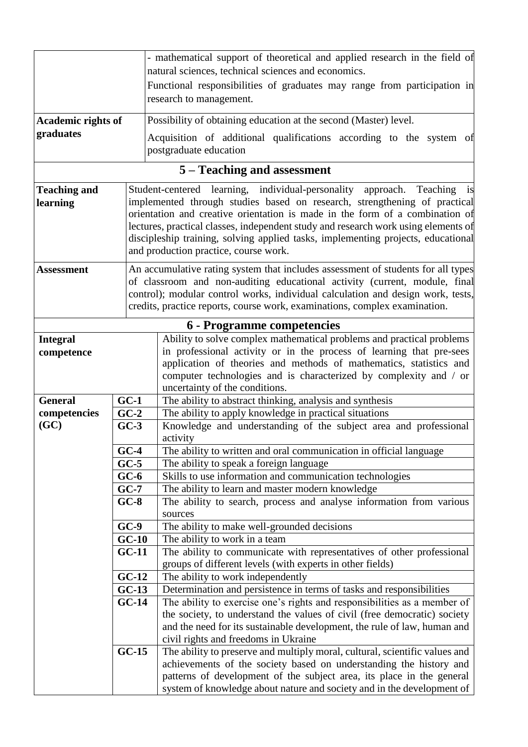|                           |         | - mathematical support of theoretical and applied research in the field of                                                                      |  |  |  |  |  |  |
|---------------------------|---------|-------------------------------------------------------------------------------------------------------------------------------------------------|--|--|--|--|--|--|
|                           |         | natural sciences, technical sciences and economics.                                                                                             |  |  |  |  |  |  |
|                           |         | Functional responsibilities of graduates may range from participation in                                                                        |  |  |  |  |  |  |
|                           |         | research to management.                                                                                                                         |  |  |  |  |  |  |
| <b>Academic rights of</b> |         | Possibility of obtaining education at the second (Master) level.                                                                                |  |  |  |  |  |  |
| graduates                 |         | Acquisition of additional qualifications according to the system of                                                                             |  |  |  |  |  |  |
|                           |         | postgraduate education                                                                                                                          |  |  |  |  |  |  |
|                           |         | 5 – Teaching and assessment                                                                                                                     |  |  |  |  |  |  |
| <b>Teaching and</b>       |         | Student-centered learning, individual-personality<br>approach. Teaching is                                                                      |  |  |  |  |  |  |
| learning                  |         | implemented through studies based on research, strengthening of practical                                                                       |  |  |  |  |  |  |
|                           |         | orientation and creative orientation is made in the form of a combination of                                                                    |  |  |  |  |  |  |
|                           |         | lectures, practical classes, independent study and research work using elements of                                                              |  |  |  |  |  |  |
|                           |         | discipleship training, solving applied tasks, implementing projects, educational                                                                |  |  |  |  |  |  |
|                           |         | and production practice, course work.                                                                                                           |  |  |  |  |  |  |
| <b>Assessment</b>         |         | An accumulative rating system that includes assessment of students for all types                                                                |  |  |  |  |  |  |
|                           |         | of classroom and non-auditing educational activity (current, module, final                                                                      |  |  |  |  |  |  |
|                           |         | control); modular control works, individual calculation and design work, tests,                                                                 |  |  |  |  |  |  |
|                           |         | credits, practice reports, course work, examinations, complex examination.                                                                      |  |  |  |  |  |  |
|                           |         | 6 - Programme competencies                                                                                                                      |  |  |  |  |  |  |
| <b>Integral</b>           |         | Ability to solve complex mathematical problems and practical problems                                                                           |  |  |  |  |  |  |
| competence                |         | in professional activity or in the process of learning that pre-sees                                                                            |  |  |  |  |  |  |
|                           |         | application of theories and methods of mathematics, statistics and                                                                              |  |  |  |  |  |  |
|                           |         | computer technologies and is characterized by complexity and / or                                                                               |  |  |  |  |  |  |
|                           |         | uncertainty of the conditions.                                                                                                                  |  |  |  |  |  |  |
| <b>General</b>            | $GC-1$  | The ability to abstract thinking, analysis and synthesis                                                                                        |  |  |  |  |  |  |
| competencies              | $GC-2$  | The ability to apply knowledge in practical situations                                                                                          |  |  |  |  |  |  |
| (GC)                      | $GC-3$  | Knowledge and understanding of the subject area and professional                                                                                |  |  |  |  |  |  |
|                           | $GC-4$  | activity                                                                                                                                        |  |  |  |  |  |  |
|                           | $GC-5$  | The ability to written and oral communication in official language<br>The ability to speak a foreign language                                   |  |  |  |  |  |  |
|                           | $GC-6$  | Skills to use information and communication technologies                                                                                        |  |  |  |  |  |  |
|                           | $GC-7$  | The ability to learn and master modern knowledge                                                                                                |  |  |  |  |  |  |
|                           | $GC-8$  | The ability to search, process and analyse information from various                                                                             |  |  |  |  |  |  |
|                           |         | sources                                                                                                                                         |  |  |  |  |  |  |
|                           | $GC-9$  | The ability to make well-grounded decisions                                                                                                     |  |  |  |  |  |  |
|                           | $GC-10$ | The ability to work in a team                                                                                                                   |  |  |  |  |  |  |
|                           | $GC-11$ | The ability to communicate with representatives of other professional                                                                           |  |  |  |  |  |  |
|                           |         | groups of different levels (with experts in other fields)                                                                                       |  |  |  |  |  |  |
|                           | $GC-12$ | The ability to work independently                                                                                                               |  |  |  |  |  |  |
|                           | $GC-13$ | Determination and persistence in terms of tasks and responsibilities                                                                            |  |  |  |  |  |  |
|                           | $GC-14$ | The ability to exercise one's rights and responsibilities as a member of                                                                        |  |  |  |  |  |  |
|                           |         | the society, to understand the values of civil (free democratic) society                                                                        |  |  |  |  |  |  |
|                           |         | and the need for its sustainable development, the rule of law, human and                                                                        |  |  |  |  |  |  |
|                           |         | civil rights and freedoms in Ukraine                                                                                                            |  |  |  |  |  |  |
|                           | $GC-15$ | The ability to preserve and multiply moral, cultural, scientific values and                                                                     |  |  |  |  |  |  |
|                           |         | achievements of the society based on understanding the history and                                                                              |  |  |  |  |  |  |
|                           |         | patterns of development of the subject area, its place in the general<br>system of knowledge about nature and society and in the development of |  |  |  |  |  |  |
|                           |         |                                                                                                                                                 |  |  |  |  |  |  |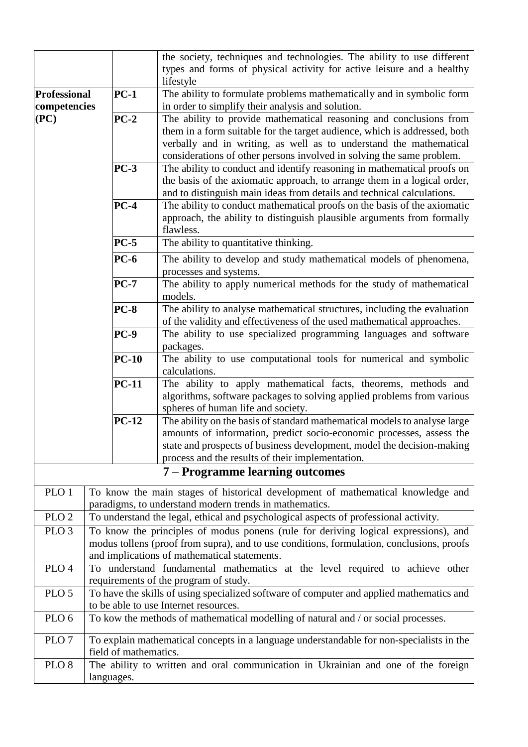|                     |                       | the society, techniques and technologies. The ability to use different                    |  |  |  |  |  |  |  |
|---------------------|-----------------------|-------------------------------------------------------------------------------------------|--|--|--|--|--|--|--|
|                     |                       | types and forms of physical activity for active leisure and a healthy                     |  |  |  |  |  |  |  |
|                     |                       | lifestyle                                                                                 |  |  |  |  |  |  |  |
|                     |                       |                                                                                           |  |  |  |  |  |  |  |
| <b>Professional</b> | $PC-1$                | The ability to formulate problems mathematically and in symbolic form                     |  |  |  |  |  |  |  |
| competencies        |                       | in order to simplify their analysis and solution.                                         |  |  |  |  |  |  |  |
| (PC)                | $PC-2$                | The ability to provide mathematical reasoning and conclusions from                        |  |  |  |  |  |  |  |
|                     |                       | them in a form suitable for the target audience, which is addressed, both                 |  |  |  |  |  |  |  |
|                     |                       | verbally and in writing, as well as to understand the mathematical                        |  |  |  |  |  |  |  |
|                     |                       | considerations of other persons involved in solving the same problem.                     |  |  |  |  |  |  |  |
|                     | $PC-3$                | The ability to conduct and identify reasoning in mathematical proofs on                   |  |  |  |  |  |  |  |
|                     |                       | the basis of the axiomatic approach, to arrange them in a logical order,                  |  |  |  |  |  |  |  |
|                     |                       | and to distinguish main ideas from details and technical calculations.                    |  |  |  |  |  |  |  |
|                     | $PC-4$                | The ability to conduct mathematical proofs on the basis of the axiomatic                  |  |  |  |  |  |  |  |
|                     |                       | approach, the ability to distinguish plausible arguments from formally                    |  |  |  |  |  |  |  |
|                     |                       | flawless.                                                                                 |  |  |  |  |  |  |  |
|                     | $PC-5$                | The ability to quantitative thinking.                                                     |  |  |  |  |  |  |  |
|                     | $PC-6$                | The ability to develop and study mathematical models of phenomena,                        |  |  |  |  |  |  |  |
|                     |                       | processes and systems.                                                                    |  |  |  |  |  |  |  |
|                     | $PC-7$                |                                                                                           |  |  |  |  |  |  |  |
|                     |                       | The ability to apply numerical methods for the study of mathematical                      |  |  |  |  |  |  |  |
|                     |                       | models.                                                                                   |  |  |  |  |  |  |  |
|                     | <b>PC-8</b>           | The ability to analyse mathematical structures, including the evaluation                  |  |  |  |  |  |  |  |
|                     |                       | of the validity and effectiveness of the used mathematical approaches.                    |  |  |  |  |  |  |  |
| $PC-9$              |                       | The ability to use specialized programming languages and software                         |  |  |  |  |  |  |  |
|                     |                       | packages.                                                                                 |  |  |  |  |  |  |  |
|                     | $PC-10$               | The ability to use computational tools for numerical and symbolic                         |  |  |  |  |  |  |  |
|                     |                       | calculations.                                                                             |  |  |  |  |  |  |  |
|                     | <b>PC-11</b>          | The ability to apply mathematical facts, theorems, methods and                            |  |  |  |  |  |  |  |
|                     |                       | algorithms, software packages to solving applied problems from various                    |  |  |  |  |  |  |  |
|                     |                       | spheres of human life and society.                                                        |  |  |  |  |  |  |  |
|                     | <b>PC-12</b>          | The ability on the basis of standard mathematical models to analyse large                 |  |  |  |  |  |  |  |
|                     |                       | amounts of information, predict socio-economic processes, assess the                      |  |  |  |  |  |  |  |
|                     |                       | state and prospects of business development, model the decision-making                    |  |  |  |  |  |  |  |
|                     |                       | process and the results of their implementation.                                          |  |  |  |  |  |  |  |
|                     |                       | 7 – Programme learning outcomes                                                           |  |  |  |  |  |  |  |
|                     |                       |                                                                                           |  |  |  |  |  |  |  |
| PLO <sub>1</sub>    |                       | To know the main stages of historical development of mathematical knowledge and           |  |  |  |  |  |  |  |
|                     |                       | paradigms, to understand modern trends in mathematics.                                    |  |  |  |  |  |  |  |
| PLO <sub>2</sub>    |                       | To understand the legal, ethical and psychological aspects of professional activity.      |  |  |  |  |  |  |  |
| PLO <sub>3</sub>    |                       | To know the principles of modus ponens (rule for deriving logical expressions), and       |  |  |  |  |  |  |  |
|                     |                       | modus tollens (proof from supra), and to use conditions, formulation, conclusions, proofs |  |  |  |  |  |  |  |
|                     |                       | and implications of mathematical statements.                                              |  |  |  |  |  |  |  |
| PLO <sub>4</sub>    |                       | To understand fundamental mathematics at the level required to achieve other              |  |  |  |  |  |  |  |
|                     |                       | requirements of the program of study.                                                     |  |  |  |  |  |  |  |
| PLO <sub>5</sub>    |                       | To have the skills of using specialized software of computer and applied mathematics and  |  |  |  |  |  |  |  |
|                     |                       | to be able to use Internet resources.                                                     |  |  |  |  |  |  |  |
| PLO <sub>6</sub>    |                       | To kow the methods of mathematical modelling of natural and / or social processes.        |  |  |  |  |  |  |  |
|                     |                       |                                                                                           |  |  |  |  |  |  |  |
| PLO <sub>7</sub>    |                       | To explain mathematical concepts in a language understandable for non-specialists in the  |  |  |  |  |  |  |  |
|                     | field of mathematics. |                                                                                           |  |  |  |  |  |  |  |
| PLO <sub>8</sub>    |                       | The ability to written and oral communication in Ukrainian and one of the foreign         |  |  |  |  |  |  |  |
|                     | languages.            |                                                                                           |  |  |  |  |  |  |  |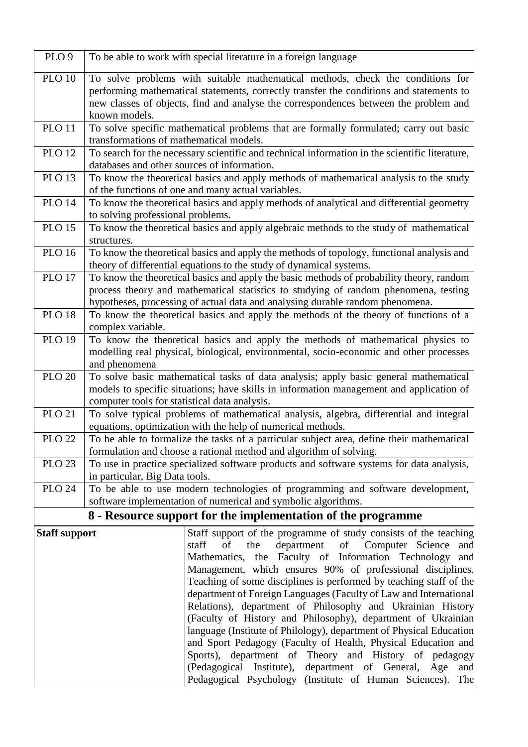| PLO <sub>9</sub>     |                                             | To be able to work with special literature in a foreign language                                                                                                                                                                                                                                                                                                                                                                                                                                                                                                                                                                                                                                                                                                                                                                                                                  |  |  |  |  |  |  |  |  |  |
|----------------------|---------------------------------------------|-----------------------------------------------------------------------------------------------------------------------------------------------------------------------------------------------------------------------------------------------------------------------------------------------------------------------------------------------------------------------------------------------------------------------------------------------------------------------------------------------------------------------------------------------------------------------------------------------------------------------------------------------------------------------------------------------------------------------------------------------------------------------------------------------------------------------------------------------------------------------------------|--|--|--|--|--|--|--|--|--|
| <b>PLO 10</b>        | known models.                               | To solve problems with suitable mathematical methods, check the conditions for<br>performing mathematical statements, correctly transfer the conditions and statements to<br>new classes of objects, find and analyse the correspondences between the problem and                                                                                                                                                                                                                                                                                                                                                                                                                                                                                                                                                                                                                 |  |  |  |  |  |  |  |  |  |
| <b>PLO 11</b>        | transformations of mathematical models.     | To solve specific mathematical problems that are formally formulated; carry out basic                                                                                                                                                                                                                                                                                                                                                                                                                                                                                                                                                                                                                                                                                                                                                                                             |  |  |  |  |  |  |  |  |  |
| <b>PLO 12</b>        | databases and other sources of information. | To search for the necessary scientific and technical information in the scientific literature,                                                                                                                                                                                                                                                                                                                                                                                                                                                                                                                                                                                                                                                                                                                                                                                    |  |  |  |  |  |  |  |  |  |
| <b>PLO 13</b>        |                                             | To know the theoretical basics and apply methods of mathematical analysis to the study<br>of the functions of one and many actual variables.                                                                                                                                                                                                                                                                                                                                                                                                                                                                                                                                                                                                                                                                                                                                      |  |  |  |  |  |  |  |  |  |
| <b>PLO 14</b>        | to solving professional problems.           | To know the theoretical basics and apply methods of analytical and differential geometry                                                                                                                                                                                                                                                                                                                                                                                                                                                                                                                                                                                                                                                                                                                                                                                          |  |  |  |  |  |  |  |  |  |
| <b>PLO 15</b>        | structures.                                 | To know the theoretical basics and apply algebraic methods to the study of mathematical                                                                                                                                                                                                                                                                                                                                                                                                                                                                                                                                                                                                                                                                                                                                                                                           |  |  |  |  |  |  |  |  |  |
| <b>PLO 16</b>        |                                             | To know the theoretical basics and apply the methods of topology, functional analysis and<br>theory of differential equations to the study of dynamical systems.                                                                                                                                                                                                                                                                                                                                                                                                                                                                                                                                                                                                                                                                                                                  |  |  |  |  |  |  |  |  |  |
| <b>PLO 17</b>        |                                             | To know the theoretical basics and apply the basic methods of probability theory, random<br>process theory and mathematical statistics to studying of random phenomena, testing<br>hypotheses, processing of actual data and analysing durable random phenomena.                                                                                                                                                                                                                                                                                                                                                                                                                                                                                                                                                                                                                  |  |  |  |  |  |  |  |  |  |
| <b>PLO 18</b>        | complex variable.                           | To know the theoretical basics and apply the methods of the theory of functions of a                                                                                                                                                                                                                                                                                                                                                                                                                                                                                                                                                                                                                                                                                                                                                                                              |  |  |  |  |  |  |  |  |  |
| <b>PLO 19</b>        | and phenomena                               | To know the theoretical basics and apply the methods of mathematical physics to<br>modelling real physical, biological, environmental, socio-economic and other processes                                                                                                                                                                                                                                                                                                                                                                                                                                                                                                                                                                                                                                                                                                         |  |  |  |  |  |  |  |  |  |
| <b>PLO 20</b>        |                                             | To solve basic mathematical tasks of data analysis; apply basic general mathematical<br>models to specific situations; have skills in information management and application of<br>computer tools for statistical data analysis.                                                                                                                                                                                                                                                                                                                                                                                                                                                                                                                                                                                                                                                  |  |  |  |  |  |  |  |  |  |
| <b>PLO 21</b>        |                                             | To solve typical problems of mathematical analysis, algebra, differential and integral<br>equations, optimization with the help of numerical methods.                                                                                                                                                                                                                                                                                                                                                                                                                                                                                                                                                                                                                                                                                                                             |  |  |  |  |  |  |  |  |  |
| <b>PLO 22</b>        |                                             | To be able to formalize the tasks of a particular subject area, define their mathematical<br>formulation and choose a rational method and algorithm of solving.                                                                                                                                                                                                                                                                                                                                                                                                                                                                                                                                                                                                                                                                                                                   |  |  |  |  |  |  |  |  |  |
| <b>PLO 23</b>        | in particular, Big Data tools.              | To use in practice specialized software products and software systems for data analysis,                                                                                                                                                                                                                                                                                                                                                                                                                                                                                                                                                                                                                                                                                                                                                                                          |  |  |  |  |  |  |  |  |  |
| <b>PLO 24</b>        |                                             | To be able to use modern technologies of programming and software development,<br>software implementation of numerical and symbolic algorithms.                                                                                                                                                                                                                                                                                                                                                                                                                                                                                                                                                                                                                                                                                                                                   |  |  |  |  |  |  |  |  |  |
|                      |                                             | 8 - Resource support for the implementation of the programme                                                                                                                                                                                                                                                                                                                                                                                                                                                                                                                                                                                                                                                                                                                                                                                                                      |  |  |  |  |  |  |  |  |  |
| <b>Staff support</b> |                                             | Staff support of the programme of study consists of the teaching<br>department<br>the<br>Computer Science<br>staff<br>of<br>of<br>and<br>Mathematics, the Faculty of Information Technology<br>and<br>Management, which ensures 90% of professional disciplines.<br>Teaching of some disciplines is performed by teaching staff of the<br>department of Foreign Languages (Faculty of Law and International<br>Relations), department of Philosophy and Ukrainian History<br>(Faculty of History and Philosophy), department of Ukrainian<br>language (Institute of Philology), department of Physical Education<br>and Sport Pedagogy (Faculty of Health, Physical Education and<br>Sports), department of Theory and History of pedagogy<br>(Pedagogical Institute),<br>department of General,<br>Age<br>and<br>Pedagogical Psychology<br>(Institute of Human Sciences).<br>The |  |  |  |  |  |  |  |  |  |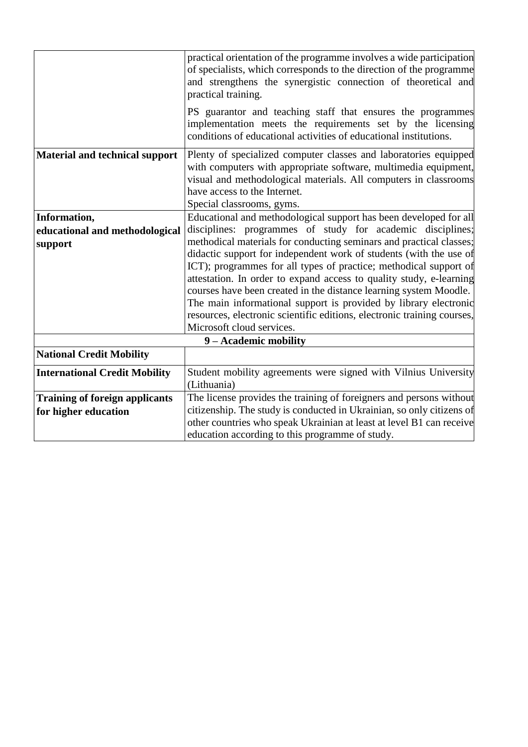|                                       | practical orientation of the programme involves a wide participation    |
|---------------------------------------|-------------------------------------------------------------------------|
|                                       | of specialists, which corresponds to the direction of the programme     |
|                                       | and strengthens the synergistic connection of theoretical and           |
|                                       | practical training.                                                     |
|                                       | PS guarantor and teaching staff that ensures the programmes             |
|                                       | implementation meets the requirements set by the licensing              |
|                                       | conditions of educational activities of educational institutions.       |
| <b>Material and technical support</b> | Plenty of specialized computer classes and laboratories equipped        |
|                                       | with computers with appropriate software, multimedia equipment,         |
|                                       | visual and methodological materials. All computers in classrooms        |
|                                       | have access to the Internet.                                            |
|                                       | Special classrooms, gyms.                                               |
| Information,                          | Educational and methodological support has been developed for all       |
| educational and methodological        | disciplines: programmes of study for academic disciplines;              |
|                                       | methodical materials for conducting seminars and practical classes;     |
| support                               | didactic support for independent work of students (with the use of      |
|                                       | ICT); programmes for all types of practice; methodical support of       |
|                                       | attestation. In order to expand access to quality study, e-learning     |
|                                       | courses have been created in the distance learning system Moodle.       |
|                                       | The main informational support is provided by library electronic        |
|                                       | resources, electronic scientific editions, electronic training courses, |
|                                       | Microsoft cloud services.                                               |
|                                       |                                                                         |
|                                       | 9 - Academic mobility                                                   |
| <b>National Credit Mobility</b>       |                                                                         |
| <b>International Credit Mobility</b>  | Student mobility agreements were signed with Vilnius University         |
|                                       | (Lithuania)                                                             |
| <b>Training of foreign applicants</b> | The license provides the training of foreigners and persons without     |
| for higher education                  | citizenship. The study is conducted in Ukrainian, so only citizens of   |
|                                       | other countries who speak Ukrainian at least at level B1 can receive    |
|                                       | education according to this programme of study.                         |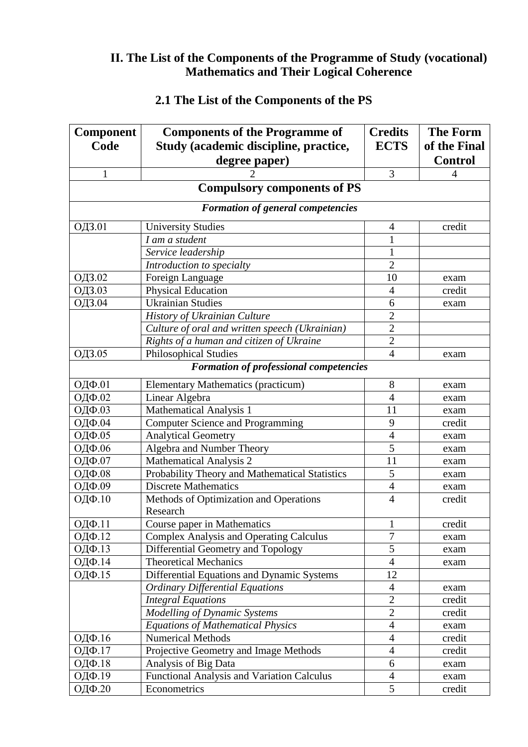#### **ІІ. The List of the Components of the Programme of Study (vocational) Mathematics and Their Logical Coherence**

| <b>Component</b>                         | <b>Components of the Programme of</b>                                         | <b>Credits</b> | <b>The Form</b> |  |  |  |  |  |  |  |  |
|------------------------------------------|-------------------------------------------------------------------------------|----------------|-----------------|--|--|--|--|--|--|--|--|
| Code                                     | Study (academic discipline, practice,                                         | <b>ECTS</b>    | of the Final    |  |  |  |  |  |  |  |  |
|                                          | degree paper)                                                                 |                | <b>Control</b>  |  |  |  |  |  |  |  |  |
| $\mathbf{1}$                             | 2                                                                             | 3              | 4               |  |  |  |  |  |  |  |  |
|                                          | <b>Compulsory components of PS</b>                                            |                |                 |  |  |  |  |  |  |  |  |
| <b>Formation of general competencies</b> |                                                                               |                |                 |  |  |  |  |  |  |  |  |
| ОДЗ.01                                   | <b>University Studies</b>                                                     | 4              | credit          |  |  |  |  |  |  |  |  |
|                                          | I am a student                                                                |                |                 |  |  |  |  |  |  |  |  |
|                                          | Service leadership                                                            | 1              |                 |  |  |  |  |  |  |  |  |
|                                          | Introduction to specialty                                                     | $\overline{2}$ |                 |  |  |  |  |  |  |  |  |
| ОДЗ.02                                   | Foreign Language                                                              | 10             | exam            |  |  |  |  |  |  |  |  |
| ОДЗ.03                                   | <b>Physical Education</b>                                                     | $\overline{4}$ | credit          |  |  |  |  |  |  |  |  |
| ОДЗ.04                                   | <b>Ukrainian Studies</b>                                                      | 6              | exam            |  |  |  |  |  |  |  |  |
|                                          | History of Ukrainian Culture                                                  | $\overline{2}$ |                 |  |  |  |  |  |  |  |  |
|                                          | Culture of oral and written speech (Ukrainian)                                | $\overline{2}$ |                 |  |  |  |  |  |  |  |  |
|                                          | Rights of a human and citizen of Ukraine                                      | $\overline{2}$ |                 |  |  |  |  |  |  |  |  |
| ОДЗ.05                                   | <b>Philosophical Studies</b>                                                  | $\overline{4}$ | exam            |  |  |  |  |  |  |  |  |
|                                          | <b>Formation of professional competencies</b>                                 |                |                 |  |  |  |  |  |  |  |  |
| ОДФ.01                                   | <b>Elementary Mathematics (practicum)</b>                                     | 8              | exam            |  |  |  |  |  |  |  |  |
| ОДФ.02                                   | Linear Algebra                                                                | $\overline{4}$ | exam            |  |  |  |  |  |  |  |  |
| ОДФ.03                                   | Mathematical Analysis 1                                                       | 11             | exam            |  |  |  |  |  |  |  |  |
| ОДФ.04                                   | <b>Computer Science and Programming</b>                                       | 9              | credit          |  |  |  |  |  |  |  |  |
| ОДФ.05                                   | <b>Analytical Geometry</b>                                                    | $\overline{4}$ | exam            |  |  |  |  |  |  |  |  |
| ОДФ.06                                   | Algebra and Number Theory                                                     | $\overline{5}$ | exam            |  |  |  |  |  |  |  |  |
| ОДФ.07                                   | <b>Mathematical Analysis 2</b>                                                | 11             | exam            |  |  |  |  |  |  |  |  |
| ОДФ.08                                   | Probability Theory and Mathematical Statistics                                | 5              | exam            |  |  |  |  |  |  |  |  |
| ОДФ.09                                   | <b>Discrete Mathematics</b>                                                   | $\overline{4}$ | exam            |  |  |  |  |  |  |  |  |
| ОДФ.10                                   | Methods of Optimization and Operations<br>Research                            | $\overline{4}$ | credit          |  |  |  |  |  |  |  |  |
| $\overline{O}$ ДФ.11                     |                                                                               |                |                 |  |  |  |  |  |  |  |  |
| ОДФ.12                                   | Course paper in Mathematics<br><b>Complex Analysis and Operating Calculus</b> | $\overline{7}$ | credit          |  |  |  |  |  |  |  |  |
| ОДФ.13                                   | Differential Geometry and Topology                                            | $\overline{5}$ | exam            |  |  |  |  |  |  |  |  |
| ОДФ.14                                   | <b>Theoretical Mechanics</b>                                                  | $\overline{4}$ | exam<br>exam    |  |  |  |  |  |  |  |  |
| ОДФ.15                                   | Differential Equations and Dynamic Systems                                    | 12             |                 |  |  |  |  |  |  |  |  |
|                                          | <b>Ordinary Differential Equations</b>                                        | $\overline{4}$ |                 |  |  |  |  |  |  |  |  |
|                                          | <b>Integral Equations</b>                                                     | $\overline{2}$ | exam<br>credit  |  |  |  |  |  |  |  |  |
|                                          | Modelling of Dynamic Systems                                                  | $\overline{2}$ | credit          |  |  |  |  |  |  |  |  |
|                                          | <b>Equations of Mathematical Physics</b>                                      | $\overline{4}$ | exam            |  |  |  |  |  |  |  |  |
| ОДФ.16                                   | <b>Numerical Methods</b>                                                      | $\overline{4}$ | credit          |  |  |  |  |  |  |  |  |
| ОДФ.17                                   | Projective Geometry and Image Methods                                         | $\overline{4}$ | credit          |  |  |  |  |  |  |  |  |
| ОДФ.18                                   | Analysis of Big Data                                                          | 6              | exam            |  |  |  |  |  |  |  |  |
| ОДФ.19                                   | <b>Functional Analysis and Variation Calculus</b>                             | $\overline{4}$ |                 |  |  |  |  |  |  |  |  |
| ОДФ.20                                   | Econometrics                                                                  | 5              | exam<br>credit  |  |  |  |  |  |  |  |  |
|                                          |                                                                               |                |                 |  |  |  |  |  |  |  |  |

## **2.1 The List of the Components of the PS**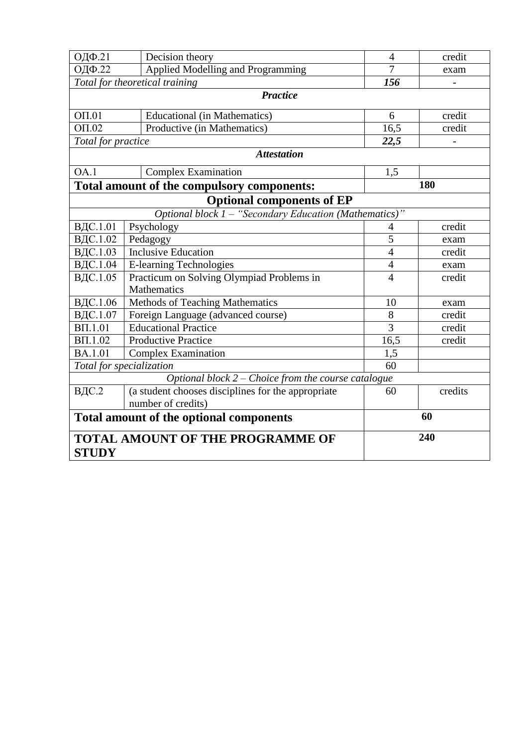| ОДФ.21                                                 | Decision theory                                                          | $\overline{4}$ | credit  |  |  |  |  |  |  |  |  |
|--------------------------------------------------------|--------------------------------------------------------------------------|----------------|---------|--|--|--|--|--|--|--|--|
| <b>ОДФ.22</b>                                          | Applied Modelling and Programming                                        | $\overline{7}$ | exam    |  |  |  |  |  |  |  |  |
|                                                        | Total for theoretical training                                           | 156            |         |  |  |  |  |  |  |  |  |
|                                                        | <b>Practice</b>                                                          |                |         |  |  |  |  |  |  |  |  |
| $O\Pi.01$                                              | <b>Educational (in Mathematics)</b>                                      | 6              | credit  |  |  |  |  |  |  |  |  |
| $\overline{OH.02}$                                     | Productive (in Mathematics)                                              | 16,5           | credit  |  |  |  |  |  |  |  |  |
| Total for practice                                     |                                                                          | 22,5           |         |  |  |  |  |  |  |  |  |
|                                                        | <b>Attestation</b>                                                       |                |         |  |  |  |  |  |  |  |  |
| OA.1                                                   | <b>Complex Examination</b>                                               | 1,5            |         |  |  |  |  |  |  |  |  |
|                                                        | Total amount of the compulsory components:                               |                | 180     |  |  |  |  |  |  |  |  |
| <b>Optional components of EP</b>                       |                                                                          |                |         |  |  |  |  |  |  |  |  |
| Optional block 1 - "Secondary Education (Mathematics)" |                                                                          |                |         |  |  |  |  |  |  |  |  |
| ВДС.1.01                                               | Psychology                                                               | $\overline{4}$ | credit  |  |  |  |  |  |  |  |  |
| ВДС.1.02                                               | Pedagogy                                                                 | 5              | exam    |  |  |  |  |  |  |  |  |
| ВДС.1.03                                               | <b>Inclusive Education</b>                                               | $\overline{4}$ | credit  |  |  |  |  |  |  |  |  |
| ВДС.1.04                                               | <b>E-learning Technologies</b>                                           | $\overline{4}$ | exam    |  |  |  |  |  |  |  |  |
| ВДС.1.05                                               | Practicum on Solving Olympiad Problems in                                | $\overline{4}$ | credit  |  |  |  |  |  |  |  |  |
|                                                        | <b>Mathematics</b>                                                       |                |         |  |  |  |  |  |  |  |  |
| ВДС.1.06                                               | Methods of Teaching Mathematics                                          | 10             | exam    |  |  |  |  |  |  |  |  |
| ВДС.1.07                                               | Foreign Language (advanced course)                                       | 8              | credit  |  |  |  |  |  |  |  |  |
| $B\Pi.1.01$                                            | <b>Educational Practice</b>                                              | $\overline{3}$ | credit  |  |  |  |  |  |  |  |  |
| <b>ΒΠ.1.02</b>                                         | <b>Productive Practice</b>                                               | 16,5           | credit  |  |  |  |  |  |  |  |  |
| BA.1.01                                                | <b>Complex Examination</b>                                               | 1,5            |         |  |  |  |  |  |  |  |  |
|                                                        | Total for specialization                                                 | 60             |         |  |  |  |  |  |  |  |  |
|                                                        | Optional block $2$ – Choice from the course catalogue                    |                |         |  |  |  |  |  |  |  |  |
| ВДС.2                                                  | (a student chooses disciplines for the appropriate<br>number of credits) | 60             | credits |  |  |  |  |  |  |  |  |
|                                                        | Total amount of the optional components                                  |                | 60      |  |  |  |  |  |  |  |  |
| <b>STUDY</b>                                           | <b>TOTAL AMOUNT OF THE PROGRAMME OF</b>                                  |                | 240     |  |  |  |  |  |  |  |  |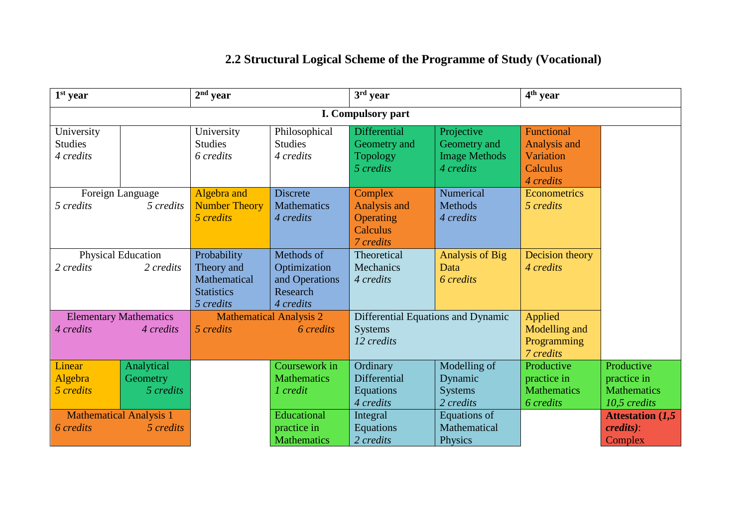# **2.2 Structural Logical Scheme of the Programme of Study (Vocational)**

| 1 <sup>st</sup> year                                     |                                                                                                                | $2nd$ year                                |                                                                       | $3rd$ year                                                           |                                                                 | 4 <sup>th</sup> year                                             |                                                                 |  |  |  |  |  |
|----------------------------------------------------------|----------------------------------------------------------------------------------------------------------------|-------------------------------------------|-----------------------------------------------------------------------|----------------------------------------------------------------------|-----------------------------------------------------------------|------------------------------------------------------------------|-----------------------------------------------------------------|--|--|--|--|--|
| I. Compulsory part                                       |                                                                                                                |                                           |                                                                       |                                                                      |                                                                 |                                                                  |                                                                 |  |  |  |  |  |
| University<br><b>Studies</b><br>4 credits                |                                                                                                                | University<br><b>Studies</b><br>6 credits | Philosophical<br><b>Studies</b><br>4 credits                          | <b>Differential</b><br>Geometry and<br><b>Topology</b><br>5 credits  | Projective<br>Geometry and<br><b>Image Methods</b><br>4 credits | Functional<br>Analysis and<br>Variation<br>Calculus<br>4 credits |                                                                 |  |  |  |  |  |
| 5 credits                                                | Algebra and<br>Foreign Language<br>5 credits<br><b>Number Theory</b><br>5 credits                              |                                           | <b>Discrete</b><br><b>Mathematics</b><br>4 credits                    | Complex<br><b>Analysis and</b><br>Operating<br>Calculus<br>7 credits | Numerical<br><b>Methods</b><br>4 credits                        | Econometrics<br>5 credits                                        |                                                                 |  |  |  |  |  |
| 2 credits                                                | Physical Education<br>Probability<br>Theory and<br>2 credits<br>Mathematical<br><b>Statistics</b><br>5 credits |                                           | Methods of<br>Optimization<br>and Operations<br>Research<br>4 credits | Theoretical<br>Mechanics<br>4 credits                                | <b>Analysis of Big</b><br>Data<br>6 credits                     | Decision theory<br>4 credits                                     |                                                                 |  |  |  |  |  |
| 4 credits                                                | <b>Elementary Mathematics</b><br>4 credits                                                                     | 5 credits                                 | <b>Mathematical Analysis 2</b><br>6 credits                           | Differential Equations and Dynamic<br><b>Systems</b><br>12 credits   |                                                                 | Applied<br>Modelling and<br>Programming<br>7 credits             |                                                                 |  |  |  |  |  |
| Linear<br>Algebra<br>5 credits                           | Analytical<br>Geometry<br>5 credits                                                                            |                                           | Coursework in<br><b>Mathematics</b><br>1 credit                       | Ordinary<br>Differential<br>Equations<br>4 credits                   | Modelling of<br>Dynamic<br><b>Systems</b><br>2 credits          | Productive<br>practice in<br><b>Mathematics</b><br>6 credits     | Productive<br>practice in<br><b>Mathematics</b><br>10,5 credits |  |  |  |  |  |
| <b>Mathematical Analysis 1</b><br>6 credits<br>5 credits |                                                                                                                |                                           | Educational<br>practice in<br><b>Mathematics</b>                      | Integral<br>Equations<br>2 credits                                   | Equations of<br>Mathematical<br>Physics                         |                                                                  | <b>Attestation (1,5)</b><br><i>credits</i> ):<br>Complex        |  |  |  |  |  |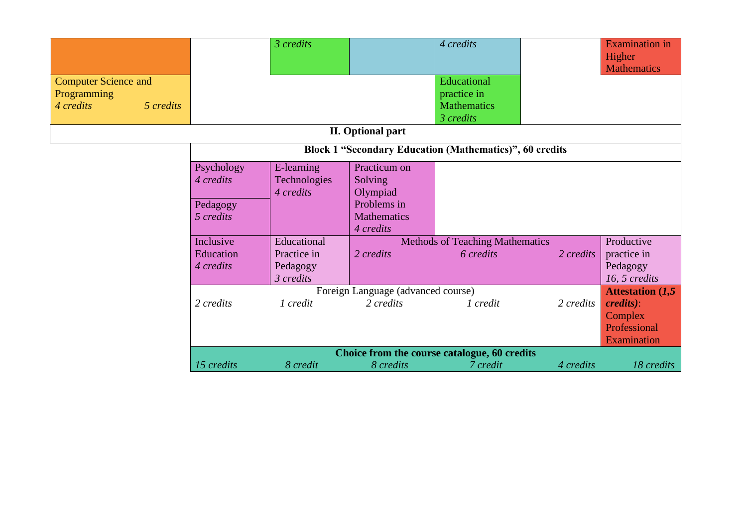| <b>Computer Science and</b><br>Programming<br>4 credits<br>5 credits |                                                  | 3 credits                                           |                                                                                       | 4 credits<br>Educational<br>practice in<br><b>Mathematics</b><br>3 credits |                | <b>Examination</b> in<br>Higher<br><b>Mathematics</b>                                   |  |  |  |  |  |  |  |
|----------------------------------------------------------------------|--------------------------------------------------|-----------------------------------------------------|---------------------------------------------------------------------------------------|----------------------------------------------------------------------------|----------------|-----------------------------------------------------------------------------------------|--|--|--|--|--|--|--|
|                                                                      |                                                  |                                                     | <b>II.</b> Optional part                                                              |                                                                            |                |                                                                                         |  |  |  |  |  |  |  |
| <b>Block 1 "Secondary Education (Mathematics)", 60 credits</b>       |                                                  |                                                     |                                                                                       |                                                                            |                |                                                                                         |  |  |  |  |  |  |  |
|                                                                      | Psychology<br>4 credits<br>Pedagogy<br>5 credits | E-learning<br>Technologies<br>4 credits             | Practicum on<br>Solving<br>Olympiad<br>Problems in<br><b>Mathematics</b><br>4 credits |                                                                            |                |                                                                                         |  |  |  |  |  |  |  |
|                                                                      | Inclusive<br>Education<br>4 credits              | Educational<br>Practice in<br>Pedagogy<br>3 credits | 2 credits                                                                             | <b>Methods of Teaching Mathematics</b><br>6 credits                        | 2 credits      | Productive<br>practice in<br>Pedagogy<br>16, 5 credits                                  |  |  |  |  |  |  |  |
|                                                                      | 2 credits                                        | 1 credit                                            | Foreign Language (advanced course)<br>2 credits                                       | 1 credit                                                                   | $2 \, credits$ | <b>Attestation (1,5)</b><br><i>credits</i> ):<br>Complex<br>Professional<br>Examination |  |  |  |  |  |  |  |
|                                                                      | 15 credits                                       | 8 credit                                            | 8 credits                                                                             | Choice from the course catalogue, 60 credits<br>7 credit                   | 4 credits      | 18 credits                                                                              |  |  |  |  |  |  |  |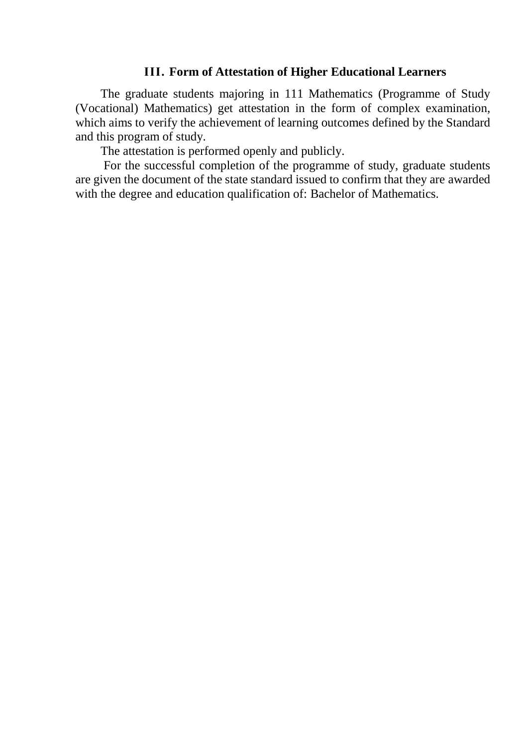#### **ІІІ. Form of Attestation of Higher Educational Learners**

The graduate students majoring in 111 Mathematics (Programme of Study (Vocational) Mathematics) get attestation in the form of complex examination, which aims to verify the achievement of learning outcomes defined by the Standard and this program of study.

The attestation is performed openly and publicly.

For the successful completion of the programme of study, graduate students are given the document of the state standard issued to confirm that they are awarded with the degree and education qualification of: Bachelor of Mathematics.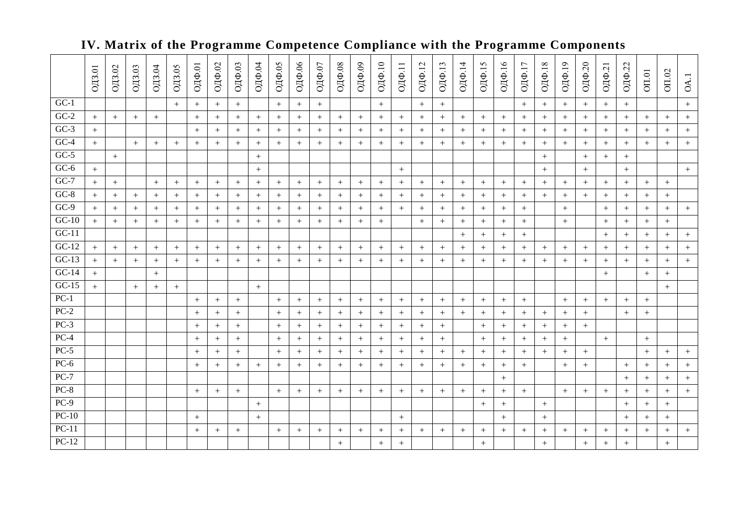|         | $OIB.01$         | ОДЗ.02 | $\overline{\text{O}}\text{J}3.03$ | ОДЗ.04 | $OIB.05$ | ОДФ.01           | ОДФ.02           | ОДФ.03 | ОДФ.04 | ОДФ.05           | ОДФ.06 | ОДФ.07           | ОДФ.08           | ОДФ.09 | ОДФ.10 | ОДФ.11 | ОДФ.12 | ОДФ.13           | ОДФ.14 | ОДФ.15 | ОДФ.16           | ОДФ.17 | ОДФ.18           | ОДФ.19 | ОДФ.20 | ОДФ.21 | ОДФ.22 | $\overline{\text{OII}.01}$ | OII.02 | OA.              |
|---------|------------------|--------|-----------------------------------|--------|----------|------------------|------------------|--------|--------|------------------|--------|------------------|------------------|--------|--------|--------|--------|------------------|--------|--------|------------------|--------|------------------|--------|--------|--------|--------|----------------------------|--------|------------------|
| $GC-1$  |                  |        |                                   |        | $+$      | $+$              | $\boldsymbol{+}$ | $^{+}$ |        | $+$              | $+$    | $\boldsymbol{+}$ |                  |        | $+$    |        | $+$    | $\boldsymbol{+}$ |        |        |                  | $+$    | $\boldsymbol{+}$ | $+$    | $+$    | $+$    | $+$    |                            |        | $\boldsymbol{+}$ |
| $GC-2$  | $+$              | $+$    | $+$                               | $+$    |          | $+$              | $\, +$           | $+$    | $+$    | $+$              | $+$    | $+$              | $+$              | $+$    | $+$    | $+$    | $+$    | $+$              | $+$    | $+$    | $+$              | $+$    | $+$              | $+$    | $+$    | $+$    | $+$    | $+$                        | $+$    | $^{+}$           |
| $GC-3$  | $+$              |        |                                   |        |          | $+$              | $+$              | $+$    | $+$    | $+$              | $+$    | $+$              | $+$              | $+$    | $+$    | $^{+}$ | $+$    | $+$              | $+$    | $+$    | $+$              | $+$    | $^{+}$           | $+$    | $+$    | $+$    | $+$    | $+$                        | $+$    | $+$              |
| $GC-4$  | $+$              |        | $+$                               | $+$    | $+$      | $+$              | $+$              | $+$    | $+$    | $+$              | $+$    | $^{+}$           | $+$              | $+$    | $+$    | $^{+}$ | $+$    | $+$              | $+$    | $+$    | $+$              | $+$    | $+$              | $+$    | $^{+}$ | $+$    | $+$    | $+$                        | $+$    | $+$              |
| $GC-5$  |                  | $+$    |                                   |        |          |                  |                  |        | $+$    |                  |        |                  |                  |        |        |        |        |                  |        |        |                  |        | $+$              |        | $^{+}$ | $+$    | $^{+}$ |                            |        |                  |
| $GC-6$  | $+$              |        |                                   |        |          |                  |                  |        | $+$    |                  |        |                  |                  |        |        | $+$    |        |                  |        |        |                  |        | $+$              |        | $^{+}$ |        | $^{+}$ |                            |        | $+$              |
| $GC-7$  | $+$              | $+$    |                                   | $+$    | $+$      | $^{+}$           | $+$              | $+$    | $+$    | $+$              | $+$    | $^{+}$           | $+$              | $+$    | $+$    | $+$    | $+$    | $+$              | $+$    | $+$    | $+$              | $+$    | $+$              | $+$    | $+$    | $+$    | $+$    | $+$                        | $+$    |                  |
| $GC-8$  | $+$              | $+$    | $+$                               | $+$    | $+$      | $+$              | $+$              | $+$    | $+$    | $+$              | $+$    | $^{+}$           | $+$              | $^{+}$ | $+$    | $^{+}$ | $+$    | $+$              | $+$    | $+$    | $+$              | $+$    | $+$              | $+$    | $+$    | $+$    | $+$    | $+$                        | $+$    |                  |
| $GC-9$  | $+$              | $+$    | $^{+}$                            | $+$    | $+$      | $+$              | $+$              | $+$    | $+$    | $+$              | $+$    | $+$              | $+$              | $+$    | $+$    | $^{+}$ | $+$    | $+$              | $+$    | $+$    | $+$              | $+$    |                  | $+$    |        | $+$    | $+$    | $+$                        | $^{+}$ | $+$              |
| $GC-10$ | $+$              | $+$    | $^{+}$                            | $+$    | $+$      | $^{+}$           | $+$              | $+$    | $+$    | $^{+}$           | $+$    | $+$              | $+$              | $^{+}$ | $+$    |        | $+$    | $+$              | $+$    | $+$    | $+$              | $+$    |                  | $+$    |        | $+$    | $^{+}$ | $+$                        | $^{+}$ |                  |
| $GC-11$ |                  |        |                                   |        |          |                  |                  |        |        |                  |        |                  |                  |        |        |        |        |                  | $+$    | $+$    | $+$              | $+$    |                  |        |        | $+$    | $^{+}$ | $+$                        | $+$    | $^{+}$           |
| $GC-12$ | $\boldsymbol{+}$ | $+$    | $^{+}$                            | $^{+}$ | $+$      | $+$              | $\boldsymbol{+}$ | $\! +$ | $+$    | $\boldsymbol{+}$ | $+$    | $^{+}$           | $\boldsymbol{+}$ | $+$    | $+$    | $\! +$ | $+$    | $\boldsymbol{+}$ | $^{+}$ | $+$    | $\, +$           | $^{+}$ | $^{+}$           | $+$    | $^{+}$ |        |        | $+$                        | $^{+}$ | $^{+}$           |
| $GC-13$ | $+$              | $^{+}$ | $+$                               | $+$    | $+$      |                  | $+$              | $^{+}$ | $+$    | $+$              | $^{+}$ | $^{+}$           | $+$              | $^{+}$ | $+$    | $^{+}$ | $^{+}$ | $+$              | $^{+}$ | $+$    | $+$              | $^{+}$ | $^{+}$           | $^{+}$ | $^{+}$ | $+$    | $^{+}$ | $+$                        | $+$    | $^{+}$           |
| $GC-14$ | $+$              |        |                                   | $+$    |          |                  |                  |        |        |                  |        |                  |                  |        |        |        |        |                  |        |        |                  |        |                  |        |        | $+$    |        | $+$                        | $+$    |                  |
| $GC-15$ | $+$              |        | $+$                               | $+$    | $^{+}$   |                  |                  |        | $+$    |                  |        |                  |                  |        |        |        |        |                  |        |        |                  |        |                  |        |        |        |        |                            | $^{+}$ |                  |
| $PC-1$  |                  |        |                                   |        |          | $^{+}$           | $^{+}$           | $^{+}$ |        | $+$              | $+$    | $^{+}$           | $+$              | $^{+}$ | $+$    | $+$    | $^{+}$ | $^{+}$           | $+$    | $+$    | $+$              | $+$    |                  | $+$    | $^{+}$ | $+$    | $^{+}$ | $+$                        |        |                  |
| $PC-2$  |                  |        |                                   |        |          | $^{+}$           | $+$              | $^{+}$ |        | $+$              | $^{+}$ | $+$              | $+$              | $+$    | $+$    | $^{+}$ | $+$    | $+$              | $+$    | $+$    | $+$              | $+$    | $^{+}$           | $+$    | $+$    |        | $^{+}$ | $+$                        |        |                  |
| $PC-3$  |                  |        |                                   |        |          | $+$              | $+$              | $^{+}$ |        | $+$              | $+$    | $+$              | $+$              | $+$    | $+$    | $+$    | $+$    | $+$              |        | $+$    | $+$              | $+$    | $+$              | $+$    | $+$    |        |        |                            |        |                  |
| $PC-4$  |                  |        |                                   |        |          | $+$              | $+$              | $^{+}$ |        | $+$              | $+$    | $^{+}$           | $+$              | $+$    | $+$    | $+$    | $+$    | $+$              |        | $+$    | $+$              | $+$    | $+$              | $+$    |        | $+$    |        | $+$                        |        |                  |
| $PC-5$  |                  |        |                                   |        |          | $+$              | $+$              | $+$    |        | $+$              | $+$    | $+$              | $+$              | $^{+}$ | $+$    | $^{+}$ | $+$    | $+$              | $+$    | $+$    | $+$              | $+$    | $+$              | $+$    | $^{+}$ |        |        | $+$                        | $+$    | $+$              |
| $PC-6$  |                  |        |                                   |        |          | $+$              | $+$              | $+$    | $+$    | $^{+}$           | $+$    | $+$              | $+$              | $+$    | $+$    | $+$    | $+$    | $+$              | $+$    | $+$    | $+$              | $+$    |                  | $+$    | $+$    |        | $+$    | $+$                        | $+$    | $^{+}$           |
| $PC-7$  |                  |        |                                   |        |          |                  |                  |        |        |                  |        |                  |                  |        |        |        |        |                  |        |        | $+$              |        |                  |        |        |        | $+$    | $+$                        | $+$    | $^{+}$           |
| $PC-8$  |                  |        |                                   |        |          | $^{+}$           | $+$              | $^{+}$ |        | $+$              | $^{+}$ | $^{+}$           | $+$              | $^{+}$ | $+$    | $^{+}$ | $^{+}$ | $+$              | $^{+}$ | $+$    | $+$              | $+$    |                  | $+$    | $^{+}$ | $+$    | $^{+}$ | $+$                        | $^{+}$ | $^{+}$           |
| $PC-9$  |                  |        |                                   |        |          |                  |                  |        | $+$    |                  |        |                  |                  |        |        |        |        |                  |        | $^{+}$ | $^{+}$           |        | $^{+}$           |        |        |        | $^{+}$ | $+$                        | $^{+}$ |                  |
| $PC-10$ |                  |        |                                   |        |          |                  |                  |        | $+$    |                  |        |                  |                  |        |        | $^{+}$ |        |                  |        |        | $\boldsymbol{+}$ |        | $^{+}$           |        |        |        |        | $+$                        | $^{+}$ |                  |
| $PC-11$ |                  |        |                                   |        |          | $\boldsymbol{+}$ | $\boldsymbol{+}$ | $^{+}$ |        | $^{+}$           | $^{+}$ | $+$              | $^{+}$           | $+$    | $^{+}$ | $^{+}$ | $^{+}$ | $+$              | $+$    | $+$    | $+$              | $+$    |                  | $+$    | $+$    | $+$    | $^{+}$ | $+$                        | $+$    | $^{+}$           |
| $PC-12$ |                  |        |                                   |        |          |                  |                  |        |        |                  |        |                  | $+$              |        | $+$    | $^{+}$ |        |                  |        | $+$    |                  |        | $+$              |        | $+$    | $+$    | $^{+}$ |                            | $^{+}$ |                  |

## **IV. Matrix of the Programme Competence Complianc e with the Programme Components**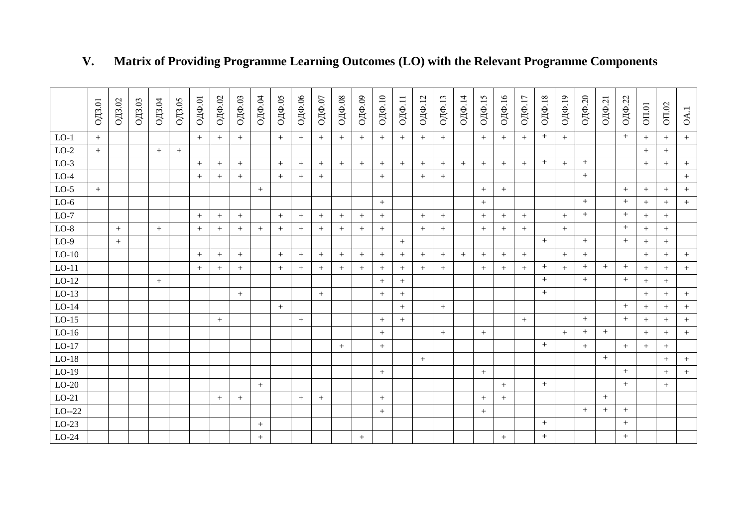|         | ОДЗ.01 | $\mathrm{O}/\mathrm{L}3.02$ | $\overline{\text{O}}\text{J}3.03$ | $\overline{\text{O}}\text{J}3.04$ | $\mathrm{O}\mathrm{H}3.05$ | ОДФ.01 | ОДФ.02 | ОДФ.03 | ОДФ.04           | ОДФ.05 | ОДФ.06 | ОДФ.07           | ОДФ.08 | ОДФ.09 | ОДФ.10 | ОДФ.11 | ОДФ.12 | ОДФ.13 | ОДФ.14 | ОДФ.15 | ОДФ.16 | ОДФ.17 | ОДФ.18 | ОДФ.19 | ОДФ.20                           | ОДФ.21 | ОДФ.22 | $O\Pi.01$ | OII.02 | OA.1   |
|---------|--------|-----------------------------|-----------------------------------|-----------------------------------|----------------------------|--------|--------|--------|------------------|--------|--------|------------------|--------|--------|--------|--------|--------|--------|--------|--------|--------|--------|--------|--------|----------------------------------|--------|--------|-----------|--------|--------|
| $LO-1$  | $+$    |                             |                                   |                                   |                            | $+$    | $+$    | $+$    |                  | $+$    | $+$    | $+$              | $^{+}$ | $+$    | $+$    |        | $+$    | $+$    |        | $^{+}$ |        | $+$    | $+$    | $+$    |                                  |        | $+$    | $^{+}$    | $+$    | $+$    |
| $LO-2$  | $+$    |                             |                                   | $+$                               | $+$                        |        |        |        |                  |        |        |                  |        |        |        |        |        |        |        |        |        |        |        |        |                                  |        |        | $+$       | $+$    |        |
| $LO-3$  |        |                             |                                   |                                   |                            | $+$    | $+$    | $^{+}$ |                  | $+$    | $+$    | $+$              | $^{+}$ | $+$    | $+$    | $\! +$ | $+$    | $^{+}$ | $^{+}$ | $^{+}$ | $+$    | $+$    | $^{+}$ | $+$    | $^{+}$                           |        |        | $^{+}$    | $+$    | $+$    |
| $LO-4$  |        |                             |                                   |                                   |                            | $+$    | $+$    | $^{+}$ |                  | $+$    | $^{+}$ | $+$              |        |        | $+$    |        | $+$    | $^{+}$ |        |        |        |        |        |        | $\begin{array}{c} + \end{array}$ |        |        |           |        | $^{+}$ |
| $LO-5$  | $+$    |                             |                                   |                                   |                            |        |        |        | $+$              |        |        |                  |        |        |        |        |        |        |        | $+$    | $+$    |        |        |        |                                  |        | $+$    | $^{+}$    | $+$    | $^{+}$ |
| $LO-6$  |        |                             |                                   |                                   |                            |        |        |        |                  |        |        |                  |        |        | $+$    |        |        |        |        | $+$    |        |        |        |        | $^{+}$                           |        | $^{+}$ | $^{+}$    | $+$    | $+$    |
| $LO-7$  |        |                             |                                   |                                   |                            | $+$    | $^{+}$ | $^{+}$ |                  | $+$    | $+$    | $+$              | $^{+}$ | $+$    | $+$    |        | $+$    | $^{+}$ |        | $^{+}$ | $^{+}$ | $+$    |        | $+$    | $+$                              |        | $+$    | $^{+}$    | $+$    |        |
| $LO-8$  |        | $+$                         |                                   | $+$                               |                            | $+$    | $^{+}$ | $^{+}$ | $+$              | $^{+}$ | $^{+}$ | $+$              | $^{+}$ | $+$    | $+$    |        | $+$    | $+$    |        |        |        | $+$    |        | $+$    |                                  |        | $+$    | $+$       | $+$    |        |
| $LO-9$  |        | $+$                         |                                   |                                   |                            |        |        |        |                  |        |        |                  |        |        |        | $+$    |        |        |        |        |        |        | $^{+}$ |        | $^{+}$                           |        | $+$    | $+$       | $+$    |        |
| $LO-10$ |        |                             |                                   |                                   |                            | $+$    | $+$    | $^{+}$ |                  | $+$    | $^{+}$ | $+$              | $+$    | $+$    | $^{+}$ |        | $+$    | $+$    | $+$    | $+$    | $+$    | $+$    |        | $+$    | $+$                              |        |        | $+$       | $+$    | $^{+}$ |
| $LO-11$ |        |                             |                                   |                                   |                            | $+$    | $+$    | $+$    |                  | $+$    | $+$    | $+$              | $+$    | $+$    | $+$    |        | $+$    | $+$    |        | $+$    | $\! +$ | $+$    | $^{+}$ | $+$    | $^{+}$                           | $+$    | $+$    | $^{+}$    | $+$    | $+$    |
| $LO-12$ |        |                             |                                   | $+$                               |                            |        |        |        |                  |        |        |                  |        |        | $+$    | $+$    |        |        |        |        |        |        | $^{+}$ |        | $^{+}$                           |        | $+$    | $+$       | $+$    |        |
| $LO-13$ |        |                             |                                   |                                   |                            |        |        | $+$    |                  |        |        | $+$              |        |        | $+$    |        |        |        |        |        |        |        | $^{+}$ |        |                                  |        |        | $^{+}$    | $+$    | $^{+}$ |
| $LO-14$ |        |                             |                                   |                                   |                            |        |        |        |                  | $+$    |        |                  |        |        |        |        |        | $^{+}$ |        |        |        |        |        |        |                                  |        | $+$    | $^{+}$    | $+$    | $^{+}$ |
| $LO-15$ |        |                             |                                   |                                   |                            |        | $^{+}$ |        |                  |        | $+$    |                  |        |        | $+$    |        |        |        |        |        |        | $+$    |        |        | $^{+}$                           |        | $+$    | $^{+}$    | $+$    | $+$    |
| $LO-16$ |        |                             |                                   |                                   |                            |        |        |        |                  |        |        |                  |        |        | $+$    |        |        | $+$    |        | $+$    |        |        |        | $+$    | $+$                              | $+$    |        | $+$       | $+$    | $+$    |
| $LO-17$ |        |                             |                                   |                                   |                            |        |        |        |                  |        |        |                  | $+$    |        | $+$    |        |        |        |        |        |        |        | $+$    |        | $+$                              |        | $+$    | $^{+}$    | $+$    |        |
| $LO-18$ |        |                             |                                   |                                   |                            |        |        |        |                  |        |        |                  |        |        |        |        | $+$    |        |        |        |        |        |        |        |                                  | $+$    |        |           | $+$    | $+$    |
| $LO-19$ |        |                             |                                   |                                   |                            |        |        |        |                  |        |        |                  |        |        | $+$    |        |        |        |        | $^{+}$ |        |        |        |        |                                  |        | $+$    |           | $+$    | $+$    |
| $LO-20$ |        |                             |                                   |                                   |                            |        |        |        | $+$              |        |        |                  |        |        |        |        |        |        |        |        | $^{+}$ |        | $^{+}$ |        |                                  |        | $+$    |           | $+$    |        |
| $LO-21$ |        |                             |                                   |                                   |                            |        | $+$    | $+$    |                  |        | $+$    | $\boldsymbol{+}$ |        |        | $+$    |        |        |        |        | $+$    | $^{+}$ |        |        |        |                                  | $+$    |        |           |        |        |
| $LO-22$ |        |                             |                                   |                                   |                            |        |        |        |                  |        |        |                  |        |        | $+$    |        |        |        |        | $^{+}$ |        |        |        |        | $+$                              | $+$    | $+$    |           |        |        |
| $LO-23$ |        |                             |                                   |                                   |                            |        |        |        | $\boldsymbol{+}$ |        |        |                  |        |        |        |        |        |        |        |        |        |        | $^{+}$ |        |                                  |        | $+$    |           |        |        |
| $LO-24$ |        |                             |                                   |                                   |                            |        |        |        | $+$              |        |        |                  |        | $+$    |        |        |        |        |        |        | $+$    |        | $+$    |        |                                  |        | $^{+}$ |           |        |        |

# **V. Matrix of Providing Programme Learning Outcomes (LO) with the Relevant Programme Components**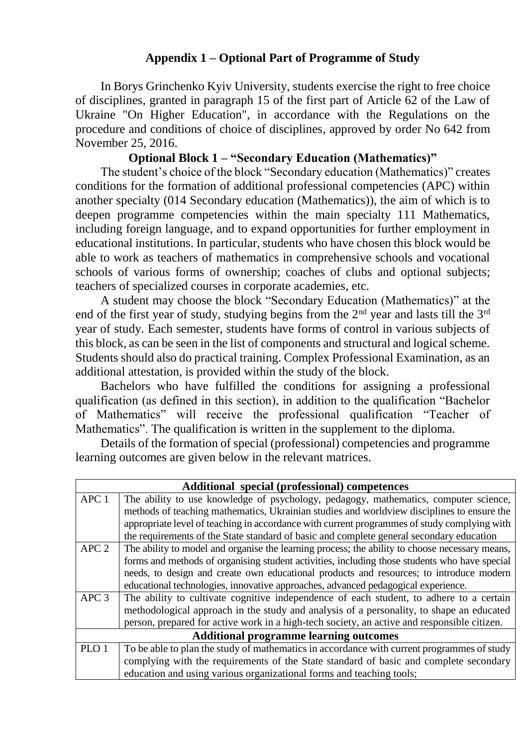#### **Appendix 1 – Optional Part of Programme of Study**

In Borys Grinchenko Kyiv University, students exercise the right to free choice of disciplines, granted in paragraph 15 of the first part of Article 62 of the Law of Ukraine "On Higher Education", in accordance with the Regulations on the procedure and conditions of choice of disciplines, approved by order No 642 from November 25, 2016.

#### **Optional Block 1 – "Secondary Education (Mathematics)"**

The student's choice of the block "Secondary education (Mathematics)" creates conditions for the formation of additional professional competencies (APC) within another specialty (014 Secondary education (Mathematics)), the aim of which is to deepen programme competencies within the main specialty 111 Mathematics, including foreign language, and to expand opportunities for further employment in educational institutions. In particular, students who have chosen this block would be able to work as teachers of mathematics in comprehensive schools and vocational schools of various forms of ownership; coaches of clubs and optional subjects; teachers of specialized courses in corporate academies, etc.

A student may choose the block "Secondary Education (Mathematics)" at the end of the first year of study, studying begins from the  $2<sup>nd</sup>$  year and lasts till the  $3<sup>rd</sup>$ year of study. Each semester, students have forms of control in various subjects of this block, as can be seen in the list of components and structural and logical scheme. Students should also do practical training. Complex Professional Examination, as an additional attestation, is provided within the study of the block.

Bachelors who have fulfilled the conditions for assigning a professional qualification (as defined in this section), in addition to the qualification "Bachelor of Mathematics" will receive the professional qualification "Teacher of Mathematics". The qualification is written in the supplement to the diploma.

Details of the formation of special (professional) competencies and programme learning outcomes are given below in the relevant matrices.

|                  | Additional special (professional) competences                                                  |
|------------------|------------------------------------------------------------------------------------------------|
| APC 1            | The ability to use knowledge of psychology, pedagogy, mathematics, computer science,           |
|                  | methods of teaching mathematics, Ukrainian studies and worldview disciplines to ensure the     |
|                  | appropriate level of teaching in accordance with current programmes of study complying with    |
|                  | the requirements of the State standard of basic and complete general secondary education       |
| APC <sub>2</sub> | The ability to model and organise the learning process; the ability to choose necessary means, |
|                  | forms and methods of organising student activities, including those students who have special  |
|                  | needs, to design and create own educational products and resources; to introduce modern        |
|                  | educational technologies, innovative approaches, advanced pedagogical experience.              |
| APC <sub>3</sub> | The ability to cultivate cognitive independence of each student, to adhere to a certain        |
|                  | methodological approach in the study and analysis of a personality, to shape an educated       |
|                  | person, prepared for active work in a high-tech society, an active and responsible citizen.    |
|                  | <b>Additional programme learning outcomes</b>                                                  |
| PLO <sub>1</sub> | To be able to plan the study of mathematics in accordance with current programmes of study     |
|                  | complying with the requirements of the State standard of basic and complete secondary          |
|                  | education and using various organizational forms and teaching tools;                           |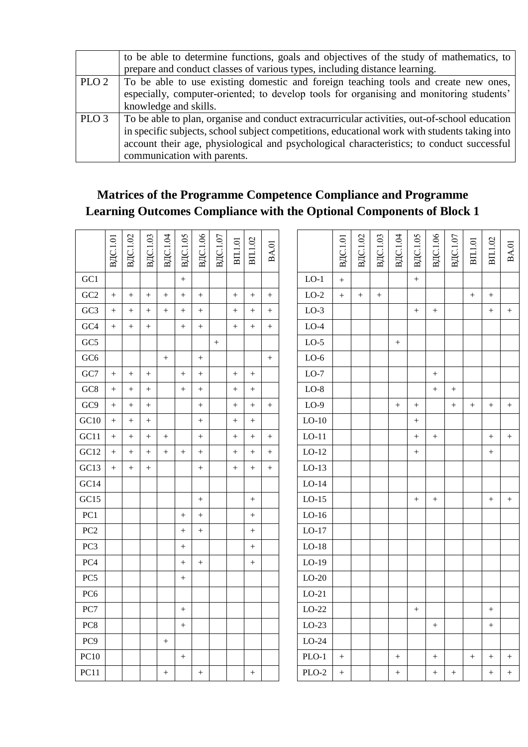|                  | to be able to determine functions, goals and objectives of the study of mathematics, to       |
|------------------|-----------------------------------------------------------------------------------------------|
|                  | prepare and conduct classes of various types, including distance learning.                    |
| PLO <sub>2</sub> | To be able to use existing domestic and foreign teaching tools and create new ones,           |
|                  | especially, computer-oriented; to develop tools for organising and monitoring students'       |
|                  | knowledge and skills.                                                                         |
| PLO <sub>3</sub> | To be able to plan, organise and conduct extracurricular activities, out-of-school education  |
|                  | in specific subjects, school subject competitions, educational work with students taking into |
|                  | account their age, physiological and psychological characteristics; to conduct successful     |
|                  | communication with parents.                                                                   |

## **Matrices of the Programme Competence Compliance and Programme Learning Outcomes Compliance with the Optional Components of Block 1**

|                 | <b>ВДС.1.01</b>  | <b>B</b> IC.1.02 | ВДС.1.03         | B <sub>IC.1.04</sub> | ВДС.1.05          | ВДС.1.06          | ВДС.1.07         | BII.1.01          | BII.1.02         | <b>BA.01</b> |         | ВДС.1.01          | <b>B</b> IC.1.02 | <b>B</b> IC.1.03 | ВДС.1.04         | <b>B</b> IC.1.05 | ВДС.1.06         | ВДС.1.07 | BII.1.01        | BII.1.02         | <b>BA.01</b>      |
|-----------------|------------------|------------------|------------------|----------------------|-------------------|-------------------|------------------|-------------------|------------------|--------------|---------|-------------------|------------------|------------------|------------------|------------------|------------------|----------|-----------------|------------------|-------------------|
| GC1             |                  |                  |                  |                      | $\qquad \qquad +$ |                   |                  |                   |                  |              | $LO-1$  | $\ddot{}$         |                  |                  |                  | $\ddot{}$        |                  |          |                 |                  |                   |
| GC <sub>2</sub> | $\ddot{}$        | $+$              | $\ddot{}$        | $+$                  | $\, +$            | $^{+}$            |                  | $+$               | $+$              | $+$          | $LO-2$  | $\qquad \qquad +$ | $\overline{+}$   | $\ddot{}$        |                  |                  |                  |          | $+$             | $+$              |                   |
| GC <sub>3</sub> | $+$              | $+$              | $^{+}$           | $+$                  | $+$               | $^{+}$            |                  | $+$               | $^{+}$           | $+$          | $LO-3$  |                   |                  |                  |                  | $+$              | $+$              |          |                 | $+$              | $+$               |
| GC4             | $+$              | $\! + \!$        |                  |                      |                   | $\boldsymbol{+}$  |                  | $\boldsymbol{+}$  | $\! + \!$        | $+$          | $LO-4$  |                   |                  |                  |                  |                  |                  |          |                 |                  |                   |
| GC5             |                  |                  |                  |                      |                   |                   | $\boldsymbol{+}$ |                   |                  |              | $LO-5$  |                   |                  |                  | $\boldsymbol{+}$ |                  |                  |          |                 |                  |                   |
| GC6             |                  |                  |                  | $+$                  |                   | $\qquad \qquad +$ |                  |                   |                  | $+$          | $LO-6$  |                   |                  |                  |                  |                  |                  |          |                 |                  |                   |
| $\rm GC7$       | $\, +$           | $+$              | $\overline{+}$   |                      | $\ddot{}$         | $^{+}$            |                  | $\qquad \qquad +$ | $\ddot{}$        |              | $LO-7$  |                   |                  |                  |                  |                  | $\boldsymbol{+}$ |          |                 |                  |                   |
| GC <sub>8</sub> | $+$              | $+$              | $^{+}$           |                      | $\ddot{}$         | $^{+}$            |                  | $\, +$            | $\ddot{}$        |              | $LO-8$  |                   |                  |                  |                  |                  | $+$              | $+$      |                 |                  |                   |
| GC9             |                  | $\! + \!$        | $\boldsymbol{+}$ |                      |                   |                   |                  |                   | $\! + \!$        | $+$          | $LO-9$  |                   |                  |                  |                  |                  |                  | $^{+}$   | $\! + \!\!\!\!$ | $+$              | $\! + \!\!\!\!$   |
| GC10            | $\boldsymbol{+}$ | $+$              | $+$              |                      |                   | $+$               |                  | $\boldsymbol{+}$  | $\boldsymbol{+}$ |              | $LO-10$ |                   |                  |                  |                  | $^{+}$           |                  |          |                 |                  |                   |
| GC11            | $+$              | $+$              | $^{+}$           | $+$                  |                   | $\qquad \qquad +$ |                  | $\! +$            | $\ddot{}$        | $+$          | $LO-11$ |                   |                  |                  |                  | $^{+}$           | $+$              |          |                 | $+$              | $\boldsymbol{+}$  |
| GC12            | $+$              |                  | $\boldsymbol{+}$ | $^{+}$               | $\! +$            | $\boldsymbol{+}$  |                  | $\boldsymbol{+}$  | $\ddot{}$        | $+$          | $LO-12$ |                   |                  |                  |                  | $^{+}$           |                  |          |                 | $\! + \!$        |                   |
| GC13            | $^{+}$           | $+$              | $\boldsymbol{+}$ |                      |                   | $+$               |                  | $\! +$            | $\ddot{}$        | $+$          | $LO-13$ |                   |                  |                  |                  |                  |                  |          |                 |                  |                   |
| GC14            |                  |                  |                  |                      |                   |                   |                  |                   |                  |              | $LO-14$ |                   |                  |                  |                  |                  |                  |          |                 |                  |                   |
| GC15            |                  |                  |                  |                      |                   | $\boldsymbol{+}$  |                  |                   | $\boldsymbol{+}$ |              | $LO-15$ |                   |                  |                  |                  | $^{+}$           | $\boldsymbol{+}$ |          |                 | $\boldsymbol{+}$ | $\boldsymbol{+}$  |
| PC1             |                  |                  |                  |                      | $\! +$            | $\boldsymbol{+}$  |                  |                   | $\ddot{}$        |              | $LO-16$ |                   |                  |                  |                  |                  |                  |          |                 |                  |                   |
| PC2             |                  |                  |                  |                      |                   | $\boldsymbol{+}$  |                  |                   | $\! + \!$        |              | $LO-17$ |                   |                  |                  |                  |                  |                  |          |                 |                  |                   |
| PC3             |                  |                  |                  |                      | $\! + \!$         |                   |                  |                   | $\! + \!$        |              | $LO-18$ |                   |                  |                  |                  |                  |                  |          |                 |                  |                   |
| PC <sub>4</sub> |                  |                  |                  |                      | $^{+}$            | $^{+}$            |                  |                   | $+$              |              | $LO-19$ |                   |                  |                  |                  |                  |                  |          |                 |                  |                   |
| PC5             |                  |                  |                  |                      | $\! +$            |                   |                  |                   |                  |              | $LO-20$ |                   |                  |                  |                  |                  |                  |          |                 |                  |                   |
| PC <sub>6</sub> |                  |                  |                  |                      |                   |                   |                  |                   |                  |              | $LO-21$ |                   |                  |                  |                  |                  |                  |          |                 |                  |                   |
| PC7             |                  |                  |                  |                      |                   |                   |                  |                   |                  |              | $LO-22$ |                   |                  |                  |                  | $+$              |                  |          |                 | $+$              |                   |
| PC8             |                  |                  |                  |                      | $\boldsymbol{+}$  |                   |                  |                   |                  |              | $LO-23$ |                   |                  |                  |                  |                  |                  |          |                 | $\boldsymbol{+}$ |                   |
| PC <sub>9</sub> |                  |                  |                  | $+$                  |                   |                   |                  |                   |                  |              | $LO-24$ |                   |                  |                  |                  |                  |                  |          |                 |                  |                   |
| <b>PC10</b>     |                  |                  |                  |                      |                   |                   |                  |                   |                  |              | $PLO-1$ | $+$               |                  |                  |                  |                  |                  |          | $+$             | $\! + \!$        | $+$               |
| PC11            |                  |                  |                  | $+$                  |                   | $+$               |                  |                   | $+$              |              | $PLO-2$ | $+$               |                  |                  |                  |                  | $+$              | $^{+}$   |                 | $^{+}$           | $\qquad \qquad +$ |